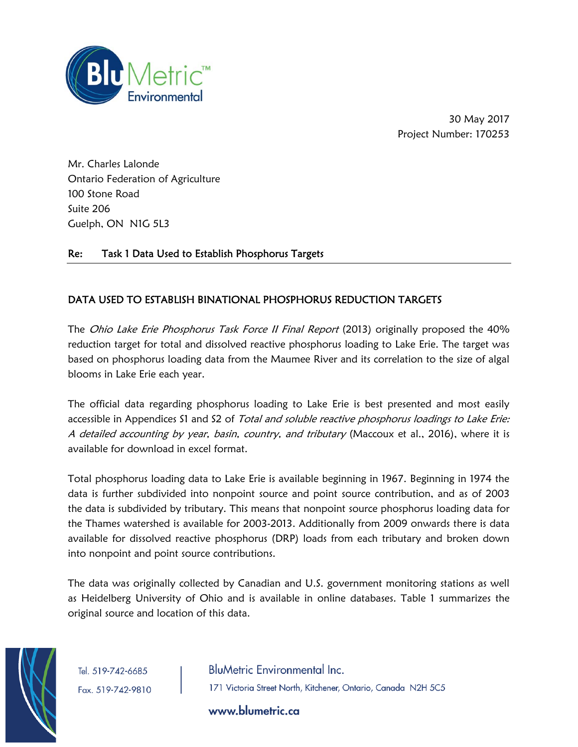

30 May 2017 Project Number: 170253

Mr. Charles Lalonde Ontario Federation of Agriculture 100 Stone Road Suite 206 Guelph, ON N1G 5L3

## Re: Task 1 Data Used to Establish Phosphorus Targets

## DATA USED TO ESTABLISH BINATIONAL PHOSPHORUS REDUCTION TARGETS

The *Ohio Lake Erie Phosphorus Task Force II Final Report* (2013) originally proposed the 40% reduction target for total and dissolved reactive phosphorus loading to Lake Erie. The target was based on phosphorus loading data from the Maumee River and its correlation to the size of algal blooms in Lake Erie each year.

The official data regarding phosphorus loading to Lake Erie is best presented and most easily accessible in Appendices S1 and S2 of Total and soluble reactive phosphorus loadings to Lake Erie: A detailed accounting by year, basin, country, and tributary (Maccoux et al., 2016), where it is available for download in excel format.

Total phosphorus loading data to Lake Erie is available beginning in 1967. Beginning in 1974 the data is further subdivided into nonpoint source and point source contribution, and as of 2003 the data is subdivided by tributary. This means that nonpoint source phosphorus loading data for the Thames watershed is available for 2003-2013. Additionally from 2009 onwards there is data available for dissolved reactive phosphorus (DRP) loads from each tributary and broken down into nonpoint and point source contributions.

The data was originally collected by Canadian and U.S. government monitoring stations as well as Heidelberg University of Ohio and is available in online databases. Table 1 summarizes the original source and location of this data.



Tel. 519-742-6685

Fax. 519-742-9810

**BluMetric Environmental Inc.** 171 Victoria Street North, Kitchener, Ontario, Canada N2H 5C5

www.blumetric.ca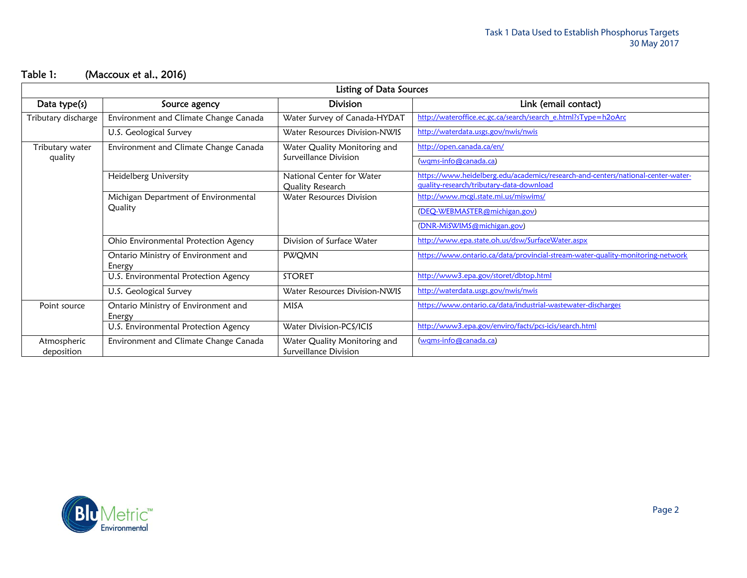# Table 1: (Maccoux et al., 2016)

| <b>Listing of Data Sources</b> |                                                 |                                                       |                                                                                  |  |  |  |  |
|--------------------------------|-------------------------------------------------|-------------------------------------------------------|----------------------------------------------------------------------------------|--|--|--|--|
| Data type(s)                   | Source agency                                   | <b>Division</b>                                       | Link (email contact)                                                             |  |  |  |  |
| Tributary discharge            | Environment and Climate Change Canada           | Water Survey of Canada-HYDAT                          | http://wateroffice.ec.gc.ca/search/search_e.html?sType=h2oArc                    |  |  |  |  |
|                                | U.S. Geological Survey                          | Water Resources Division-NWIS                         | http://waterdata.usgs.gov/nwis/nwis                                              |  |  |  |  |
| Tributary water<br>quality     | Environment and Climate Change Canada           | Water Quality Monitoring and                          | http://open.canada.ca/en/                                                        |  |  |  |  |
|                                |                                                 | Surveillance Division                                 | (wqms-info@canada.ca)                                                            |  |  |  |  |
|                                | Heidelberg University                           | National Center for Water                             | https://www.heidelberg.edu/academics/research-and-centers/national-center-water- |  |  |  |  |
|                                |                                                 | Quality Research                                      | quality-research/tributary-data-download                                         |  |  |  |  |
|                                | Michigan Department of Environmental<br>Quality | <b>Water Resources Division</b>                       | http://www.mcgi.state.mi.us/miswims/                                             |  |  |  |  |
|                                |                                                 |                                                       | (DEQ-WEBMASTER@michigan.gov)                                                     |  |  |  |  |
|                                |                                                 |                                                       | (DNR-MiSWIMS@michigan.gov)                                                       |  |  |  |  |
|                                | Ohio Environmental Protection Agency            | Division of Surface Water                             | http://www.epa.state.oh.us/dsw/SurfaceWater.aspx                                 |  |  |  |  |
|                                | Ontario Ministry of Environment and<br>Energy   | <b>PWQMN</b>                                          | https://www.ontario.ca/data/provincial-stream-water-quality-monitoring-network   |  |  |  |  |
|                                | U.S. Environmental Protection Agency            | <b>STORET</b>                                         | http://www3.epa.gov/storet/dbtop.html                                            |  |  |  |  |
|                                | U.S. Geological Survey                          | Water Resources Division-NWIS                         | http://waterdata.usgs.gov/nwis/nwis                                              |  |  |  |  |
| Point source                   | Ontario Ministry of Environment and<br>Energy   | <b>MISA</b>                                           | https://www.ontario.ca/data/industrial-wastewater-discharges                     |  |  |  |  |
|                                | U.S. Environmental Protection Agency            | Water Division-PCS/ICIS                               | http://www3.epa.gov/enviro/facts/pcs-icis/search.html                            |  |  |  |  |
| Atmospheric<br>deposition      | Environment and Climate Change Canada           | Water Quality Monitoring and<br>Surveillance Division | (wqms-info@canada.ca)                                                            |  |  |  |  |

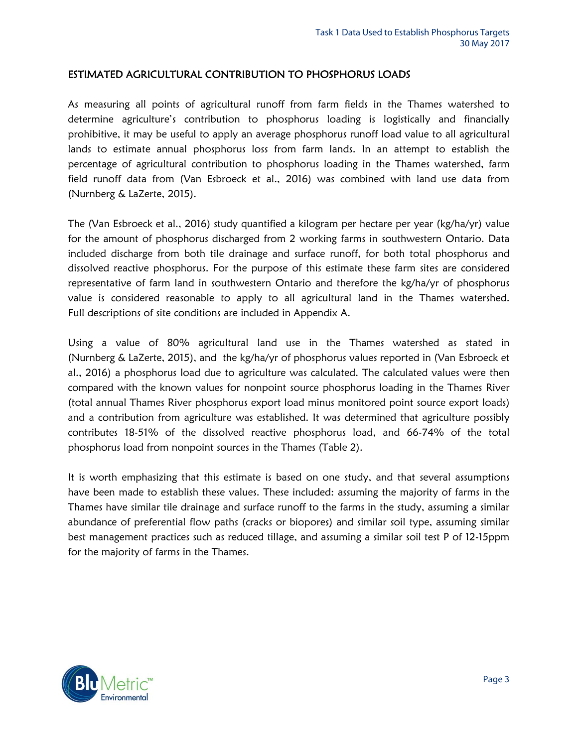### ESTIMATED AGRICULTURAL CONTRIBUTION TO PHOSPHORUS LOADS

As measuring all points of agricultural runoff from farm fields in the Thames watershed to determine agriculture's contribution to phosphorus loading is logistically and financially prohibitive, it may be useful to apply an average phosphorus runoff load value to all agricultural lands to estimate annual phosphorus loss from farm lands. In an attempt to establish the percentage of agricultural contribution to phosphorus loading in the Thames watershed, farm field runoff data from (Van Esbroeck et al., 2016) was combined with land use data from (Nurnberg & LaZerte, 2015).

The (Van Esbroeck et al., 2016) study quantified a kilogram per hectare per year (kg/ha/yr) value for the amount of phosphorus discharged from 2 working farms in southwestern Ontario. Data included discharge from both tile drainage and surface runoff, for both total phosphorus and dissolved reactive phosphorus. For the purpose of this estimate these farm sites are considered representative of farm land in southwestern Ontario and therefore the kg/ha/yr of phosphorus value is considered reasonable to apply to all agricultural land in the Thames watershed. Full descriptions of site conditions are included in Appendix A.

Using a value of 80% agricultural land use in the Thames watershed as stated in (Nurnberg & LaZerte, 2015), and the kg/ha/yr of phosphorus values reported in (Van Esbroeck et al., 2016) a phosphorus load due to agriculture was calculated. The calculated values were then compared with the known values for nonpoint source phosphorus loading in the Thames River (total annual Thames River phosphorus export load minus monitored point source export loads) and a contribution from agriculture was established. It was determined that agriculture possibly contributes 18-51% of the dissolved reactive phosphorus load, and 66-74% of the total phosphorus load from nonpoint sources in the Thames (Table 2).

It is worth emphasizing that this estimate is based on one study, and that several assumptions have been made to establish these values. These included: assuming the majority of farms in the Thames have similar tile drainage and surface runoff to the farms in the study, assuming a similar abundance of preferential flow paths (cracks or biopores) and similar soil type, assuming similar best management practices such as reduced tillage, and assuming a similar soil test P of 12-15ppm for the majority of farms in the Thames.

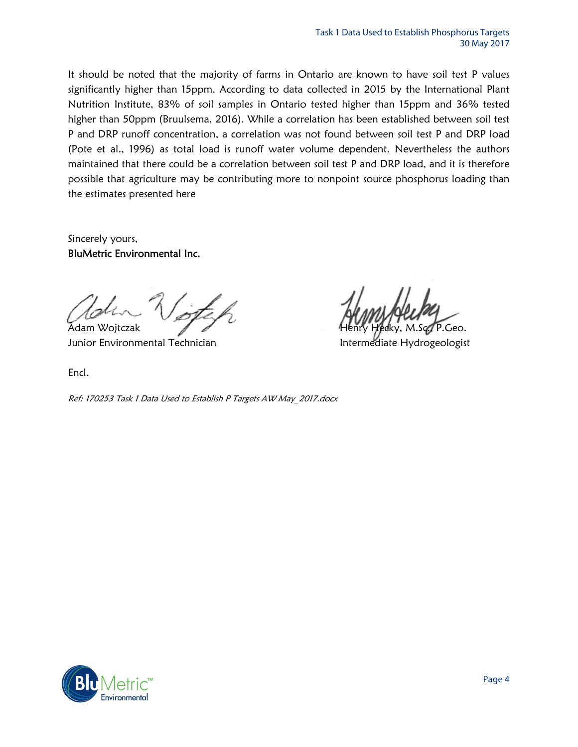It should be noted that the majority of farms in Ontario are known to have soil test P values significantly higher than 15ppm. According to data collected in 2015 by the International Plant Nutrition Institute, 83% of soil samples in Ontario tested higher than 15ppm and 36% tested higher than 50ppm (Bruulsema, 2016). While a correlation has been established between soil test P and DRP runoff concentration, a correlation was not found between soil test P and DRP load (Pote et al., 1996) as total load is runoff water volume dependent. Nevertheless the authors maintained that there could be a correlation between soil test P and DRP load, and it is therefore possible that agriculture may be contributing more to nonpoint source phosphorus loading than the estimates presented here

Sincerely yours, BluMetric Environmental Inc.

Junior Environmental Technician Intermediate Hydrogeologist

Encl.

Ref: 170253 Task 1 Data Used to Establish P Targets AW May\_2017.docx



Adam Wojtczak Henry Hecky, M.Sc., P.Geo.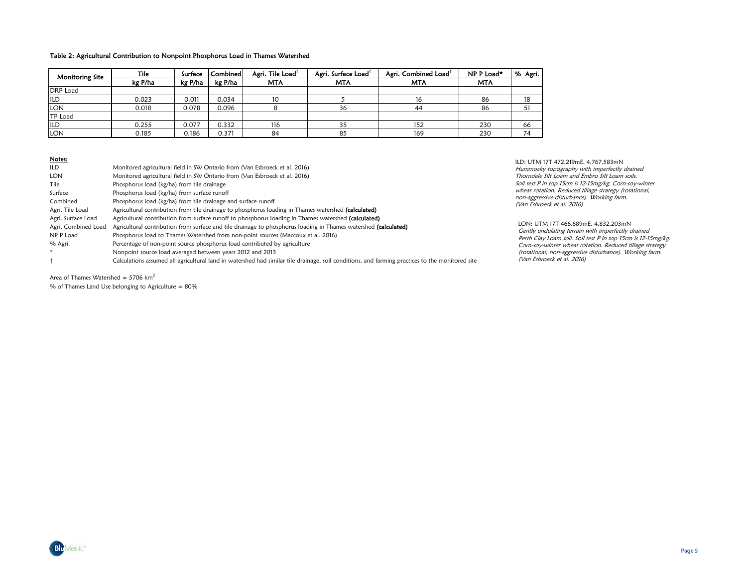#### Table 2: Agricultural Contribution to Nonpoint Phosphorus Load in Thames Watershed

| <b>Monitoring Site</b> | Tile    | Surface | <b>Combined</b> | Agri. Tile Load <sup>t</sup> | Agri. Surface Load <sup>1</sup> | Agri. Combined Load <sup>1</sup> | NP P Load* | % Agri. |
|------------------------|---------|---------|-----------------|------------------------------|---------------------------------|----------------------------------|------------|---------|
|                        | kg P/ha | kg P/ha | kg P/ha         | <b>MTA</b>                   | MTA                             | MTA                              | <b>MTA</b> |         |
| <b>DRP</b> Load        |         |         |                 |                              |                                 |                                  |            |         |
| ILD                    | 0.023   | 0.011   | 0.034           | 10                           |                                 | 16                               | 86         | 18      |
| <b>LON</b>             | 0.018   | 0.078   | 0.096           |                              | 36                              | 44                               | 86         |         |
| <b>TP Load</b>         |         |         |                 |                              |                                 |                                  |            |         |
| ILD                    | 0.255   | 0.077   | 0.332           | 116                          | 35                              | 152                              | 230        | 66      |
| <b>LON</b>             | 0.185   | 0.186   | 0.371           | 84                           | 85                              | 169                              | 230        | 74      |

### Notes:

| <b>ILD</b>          | Monitored agricultural field in SW Ontario from (Van Esbroeck et al. 2016)                                                                      |                                |  |  |
|---------------------|-------------------------------------------------------------------------------------------------------------------------------------------------|--------------------------------|--|--|
| LON                 | Monitored agricultural field in SW Ontario from (Van Esbroeck et al. 2016)                                                                      | Thorndale Sil                  |  |  |
| Tile                | Phosphorus load (kg/ha) from tile drainage                                                                                                      | Soil test P in t               |  |  |
| Surface             | Phosphorus load (kg/ha) from surface runoff                                                                                                     | wheat rotatic<br>non-aggressiv |  |  |
| Combined            | Phosphorus load (kg/ha) from tile drainage and surface runoff                                                                                   |                                |  |  |
| Agri. Tile Load     | Agricultural contribution from tile drainage to phosphorus loading in Thames watershed (calculated)                                             | Nan Esbroec                    |  |  |
| Agri. Surface Load  | Agricultural contribution from surface runoff to phosphorus loading in Thames watershed (calculated)                                            |                                |  |  |
| Agri. Combined Load | Agricultural contribution from surface and tile drainage to phosphorus loading in Thames watershed (calculated)                                 | LON: UTM<br>Gently undi        |  |  |
| NP P Load           | Phosphorus load to Thames Watershed from non-point sources (Maccoux et al. 2016)                                                                | Perth Clay L                   |  |  |
| % Agri.             | Percentage of non-point source phosphorus load contributed by agriculture<br>Nonpoint source load averaged between years 2012 and 2013          |                                |  |  |
| $\mathbf{x}$        |                                                                                                                                                 |                                |  |  |
|                     | Calculations assumed all agricultural land in watershed had similar tile drainage, soil conditions, and farming practices to the monitored site | (Van Esbroe                    |  |  |

Area of Thames Watershed =  $5706 \text{ km}^2$ 

% of Thames Land Use belonging to Agriculture = 80%

ILD: UTM 17T 472,219mE, 4,767,583mN topography with imperfectly drained ilt Loam and Embro Silt Loam soils. top 15cm is 12-15mg/kg. Corn-soy-winter on. Reduced tillage strategy (rotational, ive disturbance). Working farm. ck et al. 2016)<sup>''</sup>

LON: UTM 17T 466,689mE, 4,832,203mN ulating terrain with imperfectly drained manng Terran Theorem perteat, analysis<br>Loam soil. Soil test P in top 15cm is 12-15mg/kg. vinter wheat rotation. Reduced tillage strategy non-aggressive disturbance). Working farm. eck et al. 2016)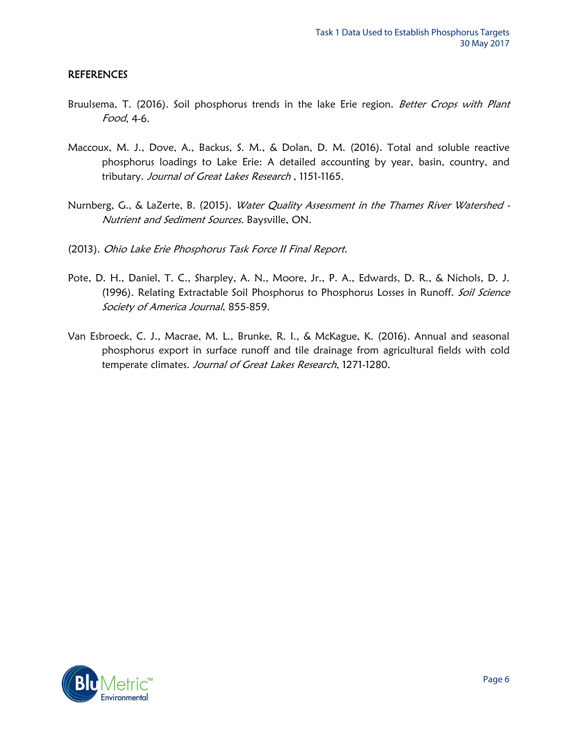### REFERENCES

- Bruulsema, T. (2016). Soil phosphorus trends in the lake Erie region. Better Crops with Plant Food, 4-6.
- Maccoux, M. J., Dove, A., Backus, S. M., & Dolan, D. M. (2016). Total and soluble reactive phosphorus loadings to Lake Erie: A detailed accounting by year, basin, country, and tributary. Journal of Great Lakes Research, 1151-1165.
- Nurnberg, G., & LaZerte, B. (2015). Water Quality Assessment in the Thames River Watershed -Nutrient and Sediment Sources. Baysville, ON.
- (2013). Ohio Lake Erie Phosphorus Task Force II Final Report.
- Pote, D. H., Daniel, T. C., Sharpley, A. N., Moore, Jr., P. A., Edwards, D. R., & Nichols, D. J. (1996). Relating Extractable Soil Phosphorus to Phosphorus Losses in Runoff. Soil Science Society of America Journal, 855-859.
- Van Esbroeck, C. J., Macrae, M. L., Brunke, R. I., & McKague, K. (2016). Annual and seasonal phosphorus export in surface runoff and tile drainage from agricultural fields with cold temperate climates. Journal of Great Lakes Research, 1271-1280.